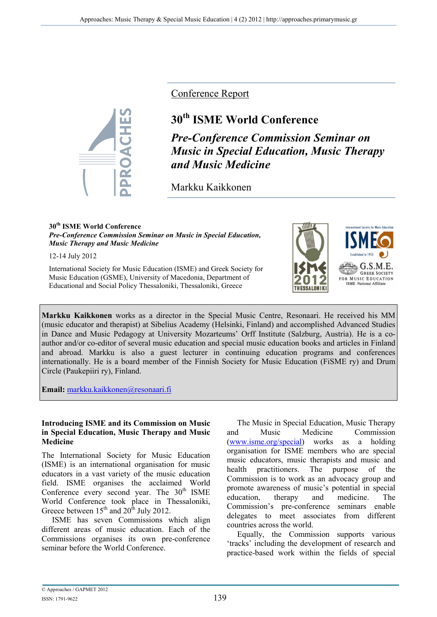

Conference Report

# **30th ISME World Conference**

*Pre-Conference Commission Seminar on Music in Special Education, Music Therapy and Music Medicine* 

Markku Kaikkonen

#### **30th ISME World Conference**  *Pre-Conference Commission Seminar on Music in Special Education, Music Therapy and Music Medicine*

12-14 July 2012

International Society for Music Education (ISME) and Greek Society for Music Education (GSME), University of Macedonia, Department of Educational and Social Policy Thessaloniki, Thessaloniki, Greece



 $G.S.M.$ **GREEK SOCIETY** FOR MUSIC EDUCATION **ISME** National Affilia

**Markku Kaikkonen** works as a director in the Special Music Centre, Resonaari. He received his MM (music educator and therapist) at Sibelius Academy (Helsinki, Finland) and accomplished Advanced Studies in Dance and Music Pedagogy at University Mozarteums' Orff Institute (Salzburg, Austria). He is a coauthor and/or co-editor of several music education and special music education books and articles in Finland and abroad. Markku is also a guest lecturer in continuing education programs and conferences internationally. He is a board member of the Finnish Society for Music Education (FiSME ry) and Drum Circle (Paukepiiri ry), Finland.

**Email:** markku.kaikkonen@resonaari.fi

#### **Introducing ISME and its Commission on Music in Special Education, Music Therapy and Music Medicine**

The International Society for Music Education (ISME) is an international organisation for music educators in a vast variety of the music education field. ISME organises the acclaimed World Conference every second year. The  $30<sup>th</sup>$  ISME World Conference took place in Thessaloniki, Greece between  $15<sup>th</sup>$  and  $20<sup>th</sup>$  July 2012.

ISME has seven Commissions which align different areas of music education. Each of the Commissions organises its own pre-conference seminar before the World Conference.

The Music in Special Education, Music Therapy and Music Medicine Commission (www.isme.org/special) works as a holding organisation for ISME members who are special music educators, music therapists and music and health practitioners. The purpose of the Commission is to work as an advocacy group and promote awareness of music's potential in special education, therapy and medicine. The Commission's pre-conference seminars enable delegates to meet associates from different countries across the world.

Equally, the Commission supports various 'tracks' including the development of research and practice-based work within the fields of special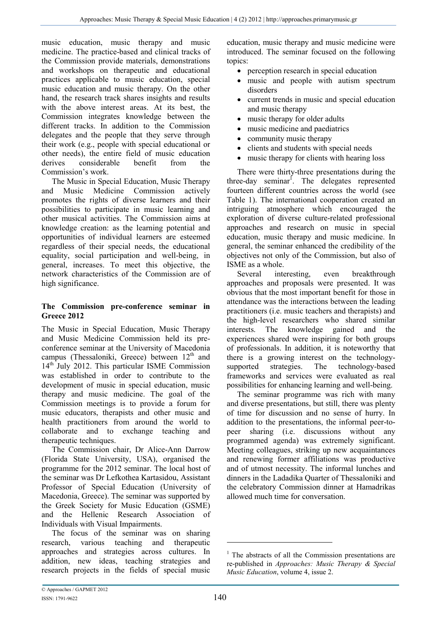music education, music therapy and music medicine. The practice-based and clinical tracks of the Commission provide materials, demonstrations and workshops on therapeutic and educational practices applicable to music education, special music education and music therapy. On the other hand, the research track shares insights and results with the above interest areas. At its best, the Commission integrates knowledge between the different tracks. In addition to the Commission delegates and the people that they serve through their work (e.g., people with special educational or other needs), the entire field of music education derives considerable benefit from the Commission's work.

The Music in Special Education, Music Therapy and Music Medicine Commission actively promotes the rights of diverse learners and their possibilities to participate in music learning and other musical activities. The Commission aims at knowledge creation: as the learning potential and opportunities of individual learners are esteemed regardless of their special needs, the educational equality, social participation and well-being, in general, increases. To meet this objective, the network characteristics of the Commission are of high significance.

## **The Commission pre-conference seminar in Greece 2012**

The Music in Special Education, Music Therapy and Music Medicine Commission held its preconference seminar at the University of Macedonia campus (Thessaloniki, Greece) between  $12<sup>th</sup>$  and 14th July 2012. This particular ISME Commission was established in order to contribute to the development of music in special education, music therapy and music medicine. The goal of the Commission meetings is to provide a forum for music educators, therapists and other music and health practitioners from around the world to collaborate and to exchange teaching and therapeutic techniques.

The Commission chair, Dr Alice-Ann Darrow (Florida State University, USA), organised the programme for the 2012 seminar. The local host of the seminar was Dr Lefkothea Kartasidou, Assistant Professor of Special Education (University of Macedonia, Greece). The seminar was supported by the Greek Society for Music Education (GSME) and the Hellenic Research Association of Individuals with Visual Impairments.

The focus of the seminar was on sharing research, various teaching and therapeutic approaches and strategies across cultures. In addition, new ideas, teaching strategies and research projects in the fields of special music

education, music therapy and music medicine were introduced. The seminar focused on the following topics:

- perception research in special education
- music and people with autism spectrum disorders
- current trends in music and special education and music therapy
- music therapy for older adults
- music medicine and paediatrics
- community music therapy
- clients and students with special needs
- music therapy for clients with hearing loss

There were thirty-three presentations during the three-day seminar<sup>1</sup>. The delegates represented fourteen different countries across the world (see Table 1). The international cooperation created an intriguing atmosphere which encouraged the exploration of diverse culture-related professional approaches and research on music in special education, music therapy and music medicine. In general, the seminar enhanced the credibility of the objectives not only of the Commission, but also of ISME as a whole.

Several interesting, even breakthrough approaches and proposals were presented. It was obvious that the most important benefit for those in attendance was the interactions between the leading practitioners (i.e. music teachers and therapists) and the high-level researchers who shared similar interests. The knowledge gained and the experiences shared were inspiring for both groups of professionals. In addition, it is noteworthy that there is a growing interest on the technologysupported strategies. The technology-based frameworks and services were evaluated as real possibilities for enhancing learning and well-being.

The seminar programme was rich with many and diverse presentations, but still, there was plenty of time for discussion and no sense of hurry. In addition to the presentations, the informal peer-topeer sharing (i.e. discussions without any programmed agenda) was extremely significant. Meeting colleagues, striking up new acquaintances and renewing former affiliations was productive and of utmost necessity. The informal lunches and dinners in the Ladadika Quarter of Thessaloniki and the celebratory Commission dinner at Hamadrikas allowed much time for conversation.

-

<sup>&</sup>lt;sup>1</sup> The abstracts of all the Commission presentations are re-published in *Approaches: Music Therapy & Special Music Education*, volume 4, issue 2.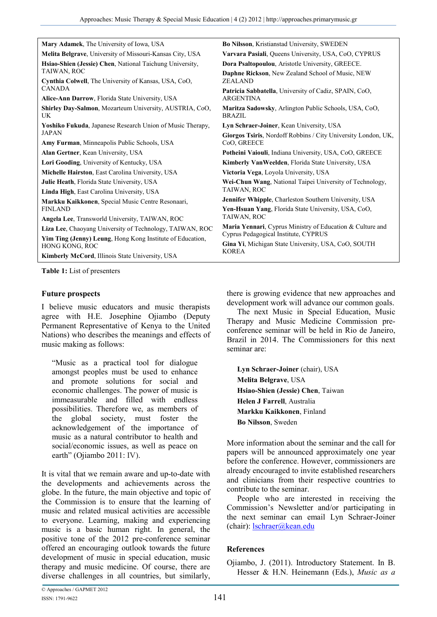| Mary Adamek, The University of Iowa, USA                                    | <b>Bo Nilsson, Kristianstad University, SWEDEN</b>                                                        |
|-----------------------------------------------------------------------------|-----------------------------------------------------------------------------------------------------------|
| Melita Belgrave, University of Missouri-Kansas City, USA                    | Varvara Pasiali, Queens University, USA, CoO, CYPRUS                                                      |
| Hsiao-Shien (Jessie) Chen, National Taichung University,                    | Dora Psaltopoulou, Aristotle University, GREECE.                                                          |
| TAIWAN, ROC                                                                 | <b>Daphne Rickson, New Zealand School of Music, NEW</b>                                                   |
| Cynthia Colwell, The University of Kansas, USA, CoO,                        | <b>ZEALAND</b>                                                                                            |
| <b>CANADA</b>                                                               | Patricia Sabbatella, University of Cadiz, SPAIN, CoO,                                                     |
| Alice-Ann Darrow, Florida State University, USA                             | <b>ARGENTINA</b>                                                                                          |
| Shirley Day-Salmon, Mozarteum University, AUSTRIA, CoO.<br>UK               | Maritza Sadowsky, Arlington Public Schools, USA, CoO,<br><b>BRAZIL</b>                                    |
| <b>Yoshiko Fukuda, Japanese Research Union of Music Therapy,</b>            | Lyn Schraer-Joiner, Kean University, USA                                                                  |
| <b>JAPAN</b>                                                                | Giorgos Tsiris, Nordoff Robbins / City University London, UK,                                             |
| Amy Furman, Minneapolis Public Schools, USA                                 | CoO, GREECE                                                                                               |
| Alan Gertner, Kean University, USA                                          | Potheini Vaiouli, Indiana University, USA, CoO, GREECE                                                    |
| Lori Gooding, University of Kentucky, USA                                   | Kimberly VanWeelden, Florida State University, USA                                                        |
| Michelle Hairston, East Carolina University, USA                            | Victoria Vega, Loyola University, USA                                                                     |
| Julie Heath, Florida State University, USA                                  | Wei-Chun Wang, National Taipei University of Technology,                                                  |
| Linda High, East Carolina University, USA                                   | TAIWAN, ROC                                                                                               |
| Markku Kaikkonen, Special Music Centre Resonaari,                           | <b>Jennifer Whipple, Charleston Southern University, USA</b>                                              |
| <b>FINLAND</b>                                                              | Yen-Hsuan Yang, Florida State University, USA, CoO,                                                       |
| Angela Lee, Transworld University, TAIWAN, ROC                              | TAIWAN, ROC                                                                                               |
| Liza Lee, Chaoyang University of Technology, TAIWAN, ROC                    | <b>Maria Yennari</b> , Cyprus Ministry of Education & Culture and<br>Cyprus Pedagogical Institute, CYPRUS |
| Yim Ting (Jenny) Leung, Hong Kong Institute of Education,<br>HONG KONG, ROC | Gina Yi, Michigan State University, USA, CoO, SOUTH<br><b>KOREA</b>                                       |
| <b>Kimberly McCord, Illinois State University, USA</b>                      |                                                                                                           |

**Table 1:** List of presenters

### **Future prospects**

I believe music educators and music therapists agree with H.E. Josephine Ojiambo (Deputy Permanent Representative of Kenya to the United Nations) who describes the meanings and effects of music making as follows:

"Music as a practical tool for dialogue amongst peoples must be used to enhance and promote solutions for social and economic challenges. The power of music is immeasurable and filled with endless possibilities. Therefore we, as members of the global society, must foster the acknowledgement of the importance of music as a natural contributor to health and social/economic issues, as well as peace on earth" (Ojiambo 2011: IV).

It is vital that we remain aware and up-to-date with the developments and achievements across the globe. In the future, the main objective and topic of the Commission is to ensure that the learning of music and related musical activities are accessible to everyone. Learning, making and experiencing music is a basic human right. In general, the positive tone of the 2012 pre-conference seminar offered an encouraging outlook towards the future development of music in special education, music therapy and music medicine. Of course, there are diverse challenges in all countries, but similarly,

there is growing evidence that new approaches and development work will advance our common goals.

The next Music in Special Education, Music Therapy and Music Medicine Commission preconference seminar will be held in Rio de Janeiro, Brazil in 2014. The Commissioners for this next seminar are:

**Lyn Schraer-Joiner** (chair), USA **Melita Belgrave**, USA **Hsiao-Shien (Jessie) Chen**, Taiwan **Helen J Farrell**, Australia **Markku Kaikkonen**, Finland **Bo Nilsson**, Sweden

More information about the seminar and the call for papers will be announced approximately one year before the conference. However, commissioners are already encouraged to invite established researchers and clinicians from their respective countries to contribute to the seminar.

People who are interested in receiving the Commission's Newsletter and/or participating in the next seminar can email Lyn Schraer-Joiner (chair): lschraer@kean.edu

## **References**

Ojiambo, J. (2011). Introductory Statement. In B. Hesser & H.N. Heinemann (Eds.), *Music as a*